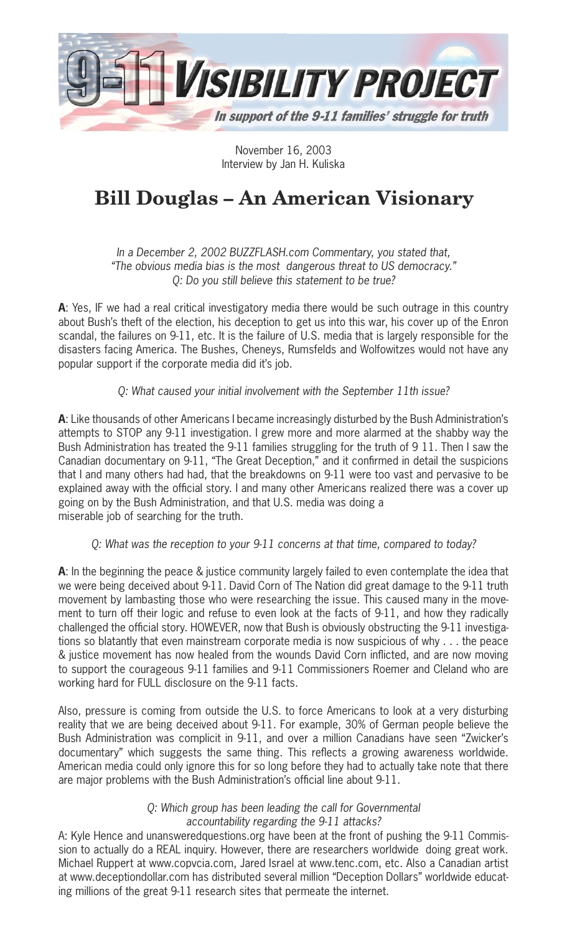

November 16, 2003 Interview by Jan H. Kuliska

# **Bill Douglas – An American Visionary**

In a December 2, 2002 BUZZFLASH.com Commentary, you stated that, "The obvious media bias is the most dangerous threat to US democracy." Q: Do you still believe this statement to be true?

**A**: Yes, IF we had a real critical investigatory media there would be such outrage in this country about Bush's theft of the election, his deception to get us into this war, his cover up of the Enron scandal, the failures on 9-11, etc. It is the failure of U.S. media that is largely responsible for the disasters facing America. The Bushes, Cheneys, Rumsfelds and Wolfowitzes would not have any popular support if the corporate media did it's job.

## Q: What caused your initial involvement with the September 11th issue?

**A**: Like thousands of other Americans I became increasingly disturbed by the Bush Administration's attempts to STOP any 9-11 investigation. I grew more and more alarmed at the shabby way the Bush Administration has treated the 9-11 families struggling for the truth of 9 11. Then I saw the Canadian documentary on 9-11, "The Great Deception," and it confirmed in detail the suspicions that I and many others had had, that the breakdowns on 9-11 were too vast and pervasive to be explained away with the official story. I and many other Americans realized there was a cover up going on by the Bush Administration, and that U.S. media was doing a miserable job of searching for the truth.

## Q: What was the reception to your 9-11 concerns at that time, compared to today?

**A**: In the beginning the peace & justice community largely failed to even contemplate the idea that we were being deceived about 9-11. David Corn of The Nation did great damage to the 9-11 truth movement by lambasting those who were researching the issue. This caused many in the movement to turn off their logic and refuse to even look at the facts of 9-11, and how they radically challenged the official story. HOWEVER, now that Bush is obviously obstructing the 9-11 investigations so blatantly that even mainstream corporate media is now suspicious of why . . . the peace & justice movement has now healed from the wounds David Corn inflicted, and are now moving to support the courageous 9-11 families and 9-11 Commissioners Roemer and Cleland who are working hard for FULL disclosure on the 9-11 facts.

Also, pressure is coming from outside the U.S. to force Americans to look at a very disturbing reality that we are being deceived about 9-11. For example, 30% of German people believe the Bush Administration was complicit in 9-11, and over a million Canadians have seen "Zwicker's documentary" which suggests the same thing. This reflects a growing awareness worldwide. American media could only ignore this for so long before they had to actually take note that there are major problems with the Bush Administration's official line about 9-11.

## Q: Which group has been leading the call for Governmental accountability regarding the 9-11 attacks?

A: Kyle Hence and unansweredquestions.org have been at the front of pushing the 9-11 Commission to actually do a REAL inquiry. However, there are researchers worldwide doing great work. Michael Ruppert at www.copvcia.com, Jared Israel at www.tenc.com, etc. Also a Canadian artist at www.deceptiondollar.com has distributed several million "Deception Dollars" worldwide educating millions of the great 9-11 research sites that permeate the internet.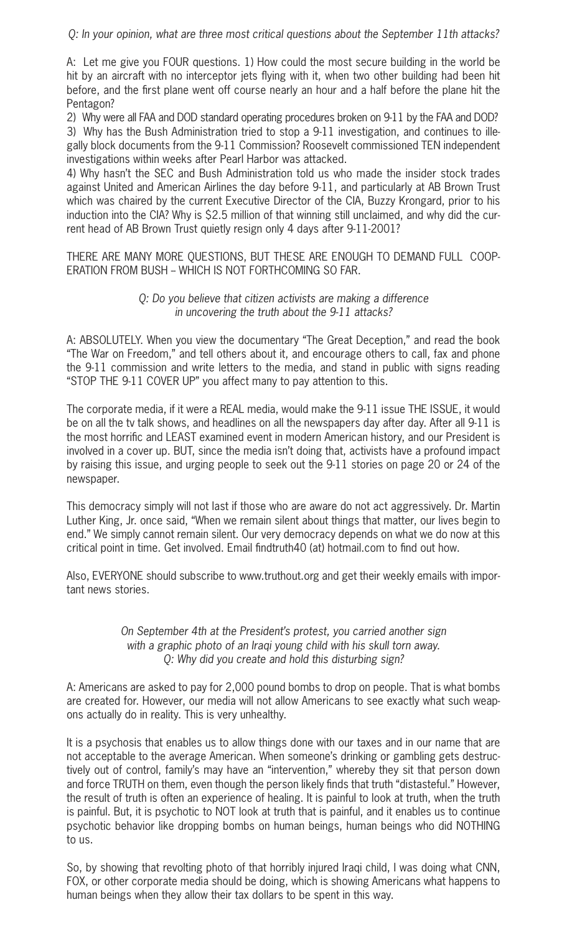Q: In your opinion, what are three most critical questions about the September 11th attacks?

A: Let me give you FOUR questions. 1) How could the most secure building in the world be hit by an aircraft with no interceptor jets flying with it, when two other building had been hit before, and the first plane went off course nearly an hour and a half before the plane hit the Pentagon?

2) Why were all FAA and DOD standard operating procedures broken on 9-11 by the FAA and DOD? 3) Why has the Bush Administration tried to stop a 9-11 investigation, and continues to illegally block documents from the 9-11 Commission? Roosevelt commissioned TEN independent investigations within weeks after Pearl Harbor was attacked.

4) Why hasn't the SEC and Bush Administration told us who made the insider stock trades against United and American Airlines the day before 9-11, and particularly at AB Brown Trust which was chaired by the current Executive Director of the CIA, Buzzy Krongard, prior to his induction into the CIA? Why is \$2.5 million of that winning still unclaimed, and why did the current head of AB Brown Trust quietly resign only 4 days after 9-11-2001?

THERE ARE MANY MORE QUESTIONS, BUT THESE ARE ENOUGH TO DEMAND FULL COOP-ERATION FROM BUSH – WHICH IS NOT FORTHCOMING SO FAR.

### Q: Do you believe that citizen activists are making a difference in uncovering the truth about the 9-11 attacks?

A: ABSOLUTELY. When you view the documentary "The Great Deception," and read the book "The War on Freedom," and tell others about it, and encourage others to call, fax and phone the 9-11 commission and write letters to the media, and stand in public with signs reading "STOP THE 9-11 COVER UP" you affect many to pay attention to this.

The corporate media, if it were a REAL media, would make the 9-11 issue THE ISSUE, it would be on all the tv talk shows, and headlines on all the newspapers day after day. After all 9-11 is the most horrific and LEAST examined event in modern American history, and our President is involved in a cover up. BUT, since the media isn't doing that, activists have a profound impact by raising this issue, and urging people to seek out the 9-11 stories on page 20 or 24 of the newspaper.

This democracy simply will not last if those who are aware do not act aggressively. Dr. Martin Luther King, Jr. once said, "When we remain silent about things that matter, our lives begin to end." We simply cannot remain silent. Our very democracy depends on what we do now at this critical point in time. Get involved. Email findtruth40 (at) hotmail.com to find out how.

Also, EVERYONE should subscribe to www.truthout.org and get their weekly emails with important news stories.

### On September 4th at the President's protest, you carried another sign with a graphic photo of an Iraqi young child with his skull torn away. Q: Why did you create and hold this disturbing sign?

A: Americans are asked to pay for 2,000 pound bombs to drop on people. That is what bombs are created for. However, our media will not allow Americans to see exactly what such weapons actually do in reality. This is very unhealthy.

It is a psychosis that enables us to allow things done with our taxes and in our name that are not acceptable to the average American. When someone's drinking or gambling gets destructively out of control, family's may have an "intervention," whereby they sit that person down and force TRUTH on them, even though the person likely finds that truth "distasteful." However, the result of truth is often an experience of healing. It is painful to look at truth, when the truth is painful. But, it is psychotic to NOT look at truth that is painful, and it enables us to continue psychotic behavior like dropping bombs on human beings, human beings who did NOTHING to us.

So, by showing that revolting photo of that horribly injured Iraqi child, I was doing what CNN, FOX, or other corporate media should be doing, which is showing Americans what happens to human beings when they allow their tax dollars to be spent in this way.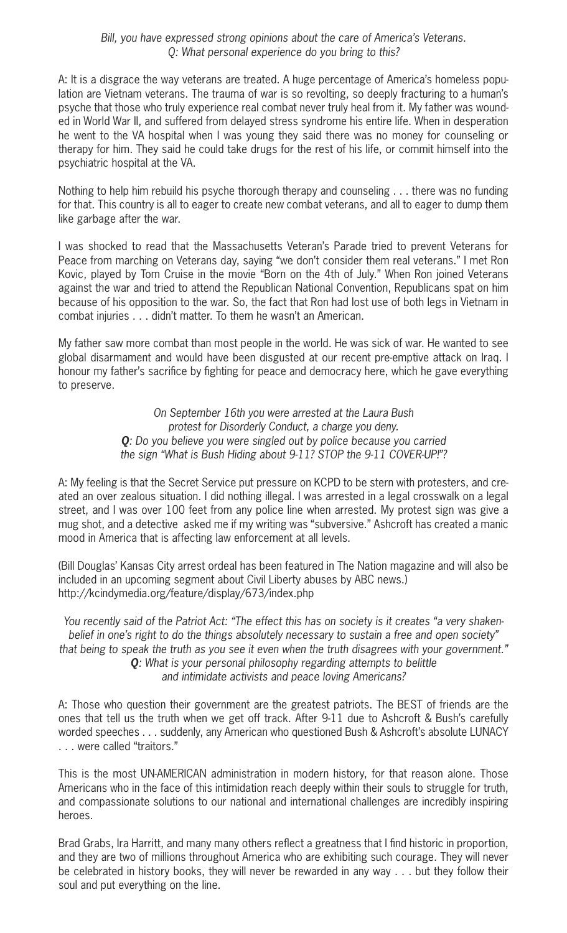#### Bill, you have expressed strong opinions about the care of America's Veterans. Q: What personal experience do you bring to this?

A: It is a disgrace the way veterans are treated. A huge percentage of America's homeless population are Vietnam veterans. The trauma of war is so revolting, so deeply fracturing to a human's psyche that those who truly experience real combat never truly heal from it. My father was wounded in World War II, and suffered from delayed stress syndrome his entire life. When in desperation he went to the VA hospital when I was young they said there was no money for counseling or therapy for him. They said he could take drugs for the rest of his life, or commit himself into the psychiatric hospital at the VA.

Nothing to help him rebuild his psyche thorough therapy and counseling . . . there was no funding for that. This country is all to eager to create new combat veterans, and all to eager to dump them like garbage after the war.

I was shocked to read that the Massachusetts Veteran's Parade tried to prevent Veterans for Peace from marching on Veterans day, saying "we don't consider them real veterans." I met Ron Kovic, played by Tom Cruise in the movie "Born on the 4th of July." When Ron joined Veterans against the war and tried to attend the Republican National Convention, Republicans spat on him because of his opposition to the war. So, the fact that Ron had lost use of both legs in Vietnam in combat injuries . . . didn't matter. To them he wasn't an American.

My father saw more combat than most people in the world. He was sick of war. He wanted to see global disarmament and would have been disgusted at our recent pre-emptive attack on Iraq. I honour my father's sacrifice by fighting for peace and democracy here, which he gave everything to preserve.

> On September 16th you were arrested at the Laura Bush protest for Disorderly Conduct, a charge you deny. **Q**: Do you believe you were singled out by police because you carried the sign "What is Bush Hiding about 9-11? STOP the 9-11 COVER-UP!"?

A: My feeling is that the Secret Service put pressure on KCPD to be stern with protesters, and created an over zealous situation. I did nothing illegal. I was arrested in a legal crosswalk on a legal street, and I was over 100 feet from any police line when arrested. My protest sign was give a mug shot, and a detective asked me if my writing was "subversive." Ashcroft has created a manic mood in America that is affecting law enforcement at all levels.

(Bill Douglas' Kansas City arrest ordeal has been featured in The Nation magazine and will also be included in an upcoming segment about Civil Liberty abuses by ABC news.) http://kcindymedia.org/feature/display/673/index.php

You recently said of the Patriot Act: "The effect this has on society is it creates "a very shakenbelief in one's right to do the things absolutely necessary to sustain a free and open society" that being to speak the truth as you see it even when the truth disagrees with your government." **Q**: What is your personal philosophy regarding attempts to belittle and intimidate activists and peace loving Americans?

A: Those who question their government are the greatest patriots. The BEST of friends are the ones that tell us the truth when we get off track. After 9-11 due to Ashcroft & Bush's carefully worded speeches . . . suddenly, any American who questioned Bush & Ashcroft's absolute LUNACY . . . were called "traitors."

This is the most UN-AMERICAN administration in modern history, for that reason alone. Those Americans who in the face of this intimidation reach deeply within their souls to struggle for truth, and compassionate solutions to our national and international challenges are incredibly inspiring heroes.

Brad Grabs, Ira Harritt, and many many others reflect a greatness that I find historic in proportion, and they are two of millions throughout America who are exhibiting such courage. They will never be celebrated in history books, they will never be rewarded in any way . . . but they follow their soul and put everything on the line.